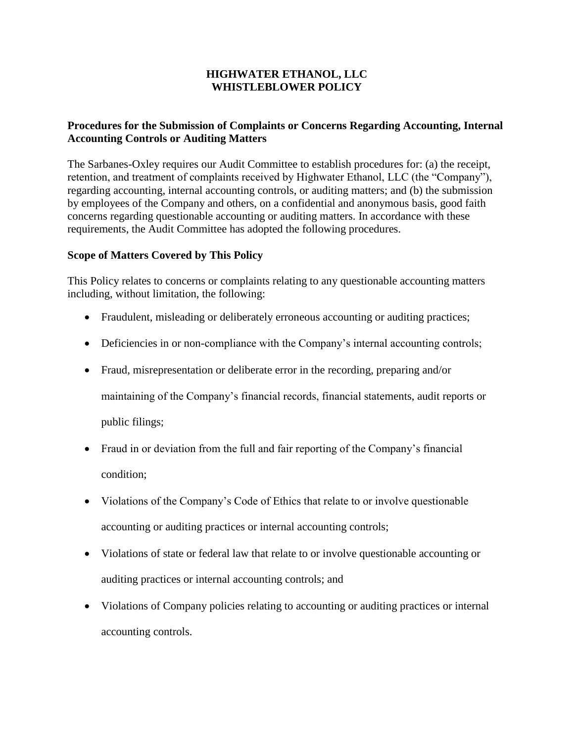## **HIGHWATER ETHANOL, LLC WHISTLEBLOWER POLICY**

# **Procedures for the Submission of Complaints or Concerns Regarding Accounting, Internal Accounting Controls or Auditing Matters**

The Sarbanes-Oxley requires our Audit Committee to establish procedures for: (a) the receipt, retention, and treatment of complaints received by Highwater Ethanol, LLC (the "Company"), regarding accounting, internal accounting controls, or auditing matters; and (b) the submission by employees of the Company and others, on a confidential and anonymous basis, good faith concerns regarding questionable accounting or auditing matters. In accordance with these requirements, the Audit Committee has adopted the following procedures.

### **Scope of Matters Covered by This Policy**

This Policy relates to concerns or complaints relating to any questionable accounting matters including, without limitation, the following:

- Fraudulent, misleading or deliberately erroneous accounting or auditing practices;
- Deficiencies in or non-compliance with the Company's internal accounting controls;
- Fraud, misrepresentation or deliberate error in the recording, preparing and/or maintaining of the Company's financial records, financial statements, audit reports or public filings;
- Fraud in or deviation from the full and fair reporting of the Company's financial condition;
- Violations of the Company's Code of Ethics that relate to or involve questionable accounting or auditing practices or internal accounting controls;
- Violations of state or federal law that relate to or involve questionable accounting or auditing practices or internal accounting controls; and
- Violations of Company policies relating to accounting or auditing practices or internal accounting controls.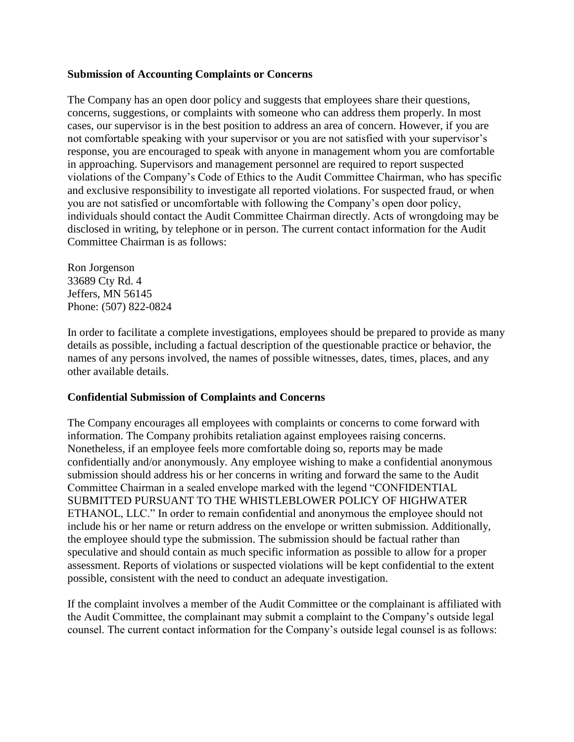#### **Submission of Accounting Complaints or Concerns**

The Company has an open door policy and suggests that employees share their questions, concerns, suggestions, or complaints with someone who can address them properly. In most cases, our supervisor is in the best position to address an area of concern. However, if you are not comfortable speaking with your supervisor or you are not satisfied with your supervisor's response, you are encouraged to speak with anyone in management whom you are comfortable in approaching. Supervisors and management personnel are required to report suspected violations of the Company's Code of Ethics to the Audit Committee Chairman, who has specific and exclusive responsibility to investigate all reported violations. For suspected fraud, or when you are not satisfied or uncomfortable with following the Company's open door policy, individuals should contact the Audit Committee Chairman directly. Acts of wrongdoing may be disclosed in writing, by telephone or in person. The current contact information for the Audit Committee Chairman is as follows:

Ron Jorgenson 33689 Cty Rd. 4 Jeffers, MN 56145 Phone: (507) 822-0824

In order to facilitate a complete investigations, employees should be prepared to provide as many details as possible, including a factual description of the questionable practice or behavior, the names of any persons involved, the names of possible witnesses, dates, times, places, and any other available details.

#### **Confidential Submission of Complaints and Concerns**

The Company encourages all employees with complaints or concerns to come forward with information. The Company prohibits retaliation against employees raising concerns. Nonetheless, if an employee feels more comfortable doing so, reports may be made confidentially and/or anonymously. Any employee wishing to make a confidential anonymous submission should address his or her concerns in writing and forward the same to the Audit Committee Chairman in a sealed envelope marked with the legend "CONFIDENTIAL SUBMITTED PURSUANT TO THE WHISTLEBLOWER POLICY OF HIGHWATER ETHANOL, LLC." In order to remain confidential and anonymous the employee should not include his or her name or return address on the envelope or written submission. Additionally, the employee should type the submission. The submission should be factual rather than speculative and should contain as much specific information as possible to allow for a proper assessment. Reports of violations or suspected violations will be kept confidential to the extent possible, consistent with the need to conduct an adequate investigation.

If the complaint involves a member of the Audit Committee or the complainant is affiliated with the Audit Committee, the complainant may submit a complaint to the Company's outside legal counsel. The current contact information for the Company's outside legal counsel is as follows: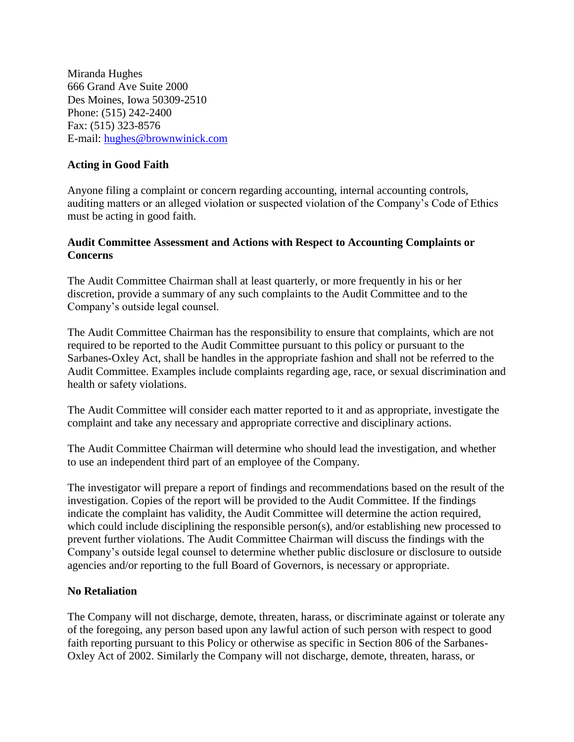Miranda Hughes 666 Grand Ave Suite 2000 Des Moines, Iowa 50309-2510 Phone: (515) 242-2400 Fax: (515) 323-8576 E-mail: [hughes@brownwinick.com](mailto:hughes@brownwinick.com)

## **Acting in Good Faith**

Anyone filing a complaint or concern regarding accounting, internal accounting controls, auditing matters or an alleged violation or suspected violation of the Company's Code of Ethics must be acting in good faith.

### **Audit Committee Assessment and Actions with Respect to Accounting Complaints or Concerns**

The Audit Committee Chairman shall at least quarterly, or more frequently in his or her discretion, provide a summary of any such complaints to the Audit Committee and to the Company's outside legal counsel.

The Audit Committee Chairman has the responsibility to ensure that complaints, which are not required to be reported to the Audit Committee pursuant to this policy or pursuant to the Sarbanes-Oxley Act, shall be handles in the appropriate fashion and shall not be referred to the Audit Committee. Examples include complaints regarding age, race, or sexual discrimination and health or safety violations.

The Audit Committee will consider each matter reported to it and as appropriate, investigate the complaint and take any necessary and appropriate corrective and disciplinary actions.

The Audit Committee Chairman will determine who should lead the investigation, and whether to use an independent third part of an employee of the Company.

The investigator will prepare a report of findings and recommendations based on the result of the investigation. Copies of the report will be provided to the Audit Committee. If the findings indicate the complaint has validity, the Audit Committee will determine the action required, which could include disciplining the responsible person(s), and/or establishing new processed to prevent further violations. The Audit Committee Chairman will discuss the findings with the Company's outside legal counsel to determine whether public disclosure or disclosure to outside agencies and/or reporting to the full Board of Governors, is necessary or appropriate.

## **No Retaliation**

The Company will not discharge, demote, threaten, harass, or discriminate against or tolerate any of the foregoing, any person based upon any lawful action of such person with respect to good faith reporting pursuant to this Policy or otherwise as specific in Section 806 of the Sarbanes-Oxley Act of 2002. Similarly the Company will not discharge, demote, threaten, harass, or